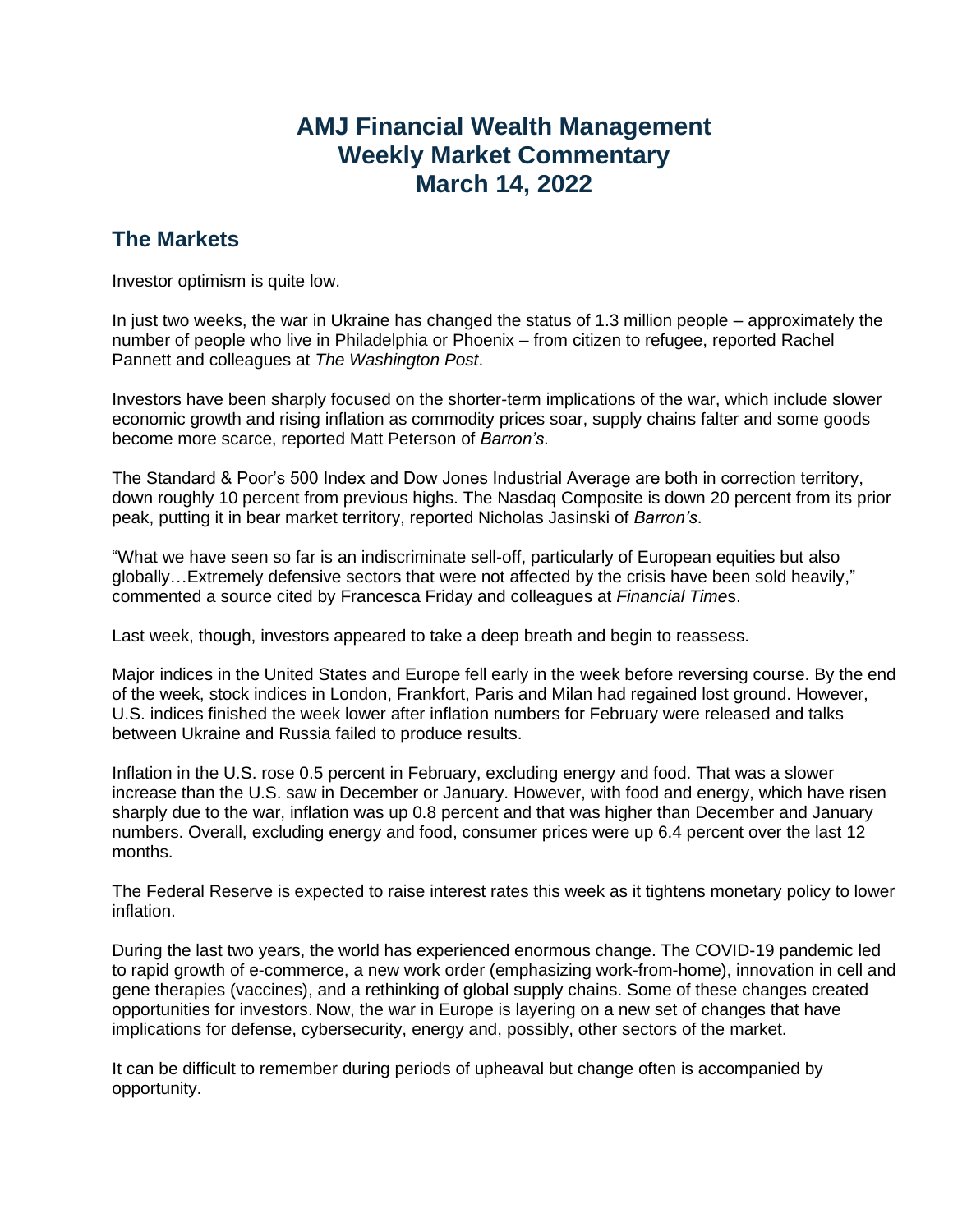## **AMJ Financial Wealth Management Weekly Market Commentary March 14, 2022**

## **The Markets**

Investor optimism is quite low.

In just two weeks, the war in Ukraine has changed the status of 1.3 million people – approximately the number of people who live in Philadelphia or Phoenix – from citizen to refugee, reported Rachel Pannett and colleagues at *The Washington Post*.

Investors have been sharply focused on the shorter-term implications of the war, which include slower economic growth and rising inflation as commodity prices soar, supply chains falter and some goods become more scarce, reported Matt Peterson of *Barron's*.

The Standard & Poor's 500 Index and Dow Jones Industrial Average are both in correction territory, down roughly 10 percent from previous highs. The Nasdaq Composite is down 20 percent from its prior peak, putting it in bear market territory, reported Nicholas Jasinski of *Barron's*.

"What we have seen so far is an indiscriminate sell-off, particularly of European equities but also globally…Extremely defensive sectors that were not affected by the crisis have been sold heavily," commented a source cited by Francesca Friday and colleagues at *Financial Time*s.

Last week, though, investors appeared to take a deep breath and begin to reassess.

Major indices in the United States and Europe fell early in the week before reversing course. By the end of the week, stock indices in London, Frankfort, Paris and Milan had regained lost ground. However, U.S. indices finished the week lower after inflation numbers for February were released and talks between Ukraine and Russia failed to produce results.

Inflation in the U.S. rose 0.5 percent in February, excluding energy and food. That was a slower increase than the U.S. saw in December or January. However, with food and energy, which have risen sharply due to the war, inflation was up 0.8 percent and that was higher than December and January numbers. Overall, excluding energy and food, consumer prices were up 6.4 percent over the last 12 months.

The Federal Reserve is expected to raise interest rates this week as it tightens monetary policy to lower inflation.

During the last two years, the world has experienced enormous change. The COVID-19 pandemic led to rapid growth of e-commerce, a new work order (emphasizing work-from-home), innovation in cell and gene therapies (vaccines), and a rethinking of global supply chains. Some of these changes created opportunities for investors. Now, the war in Europe is layering on a new set of changes that have implications for defense, cybersecurity, energy and, possibly, other sectors of the market.

It can be difficult to remember during periods of upheaval but change often is accompanied by opportunity.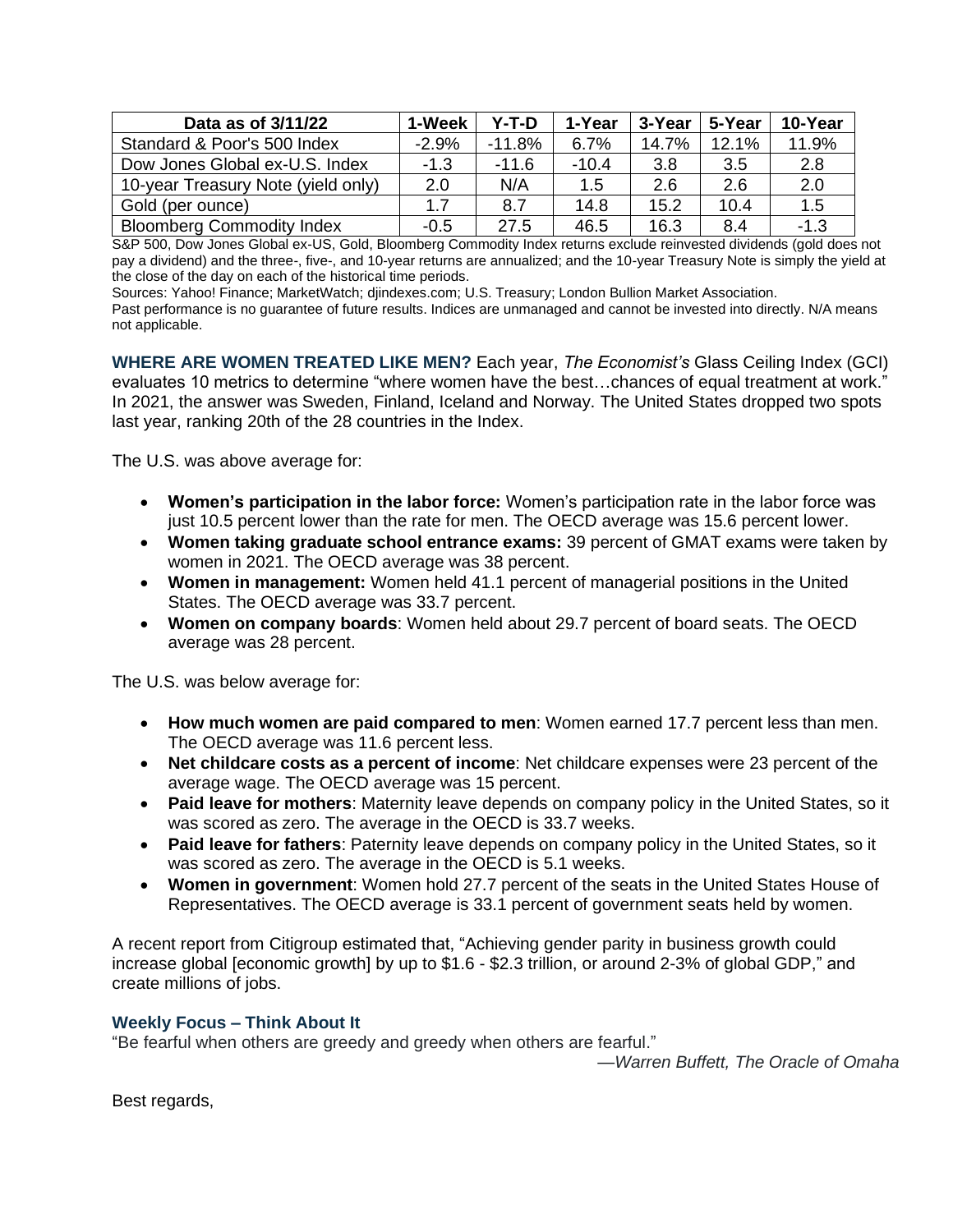| Data as of 3/11/22                 | 1-Week  | Y-T-D    | 1-Year  | 3-Year | 5-Year | 10-Year |
|------------------------------------|---------|----------|---------|--------|--------|---------|
| Standard & Poor's 500 Index        | $-2.9%$ | $-11.8%$ | 6.7%    | 14.7%  | 12.1%  | 11.9%   |
| Dow Jones Global ex-U.S. Index     | $-1.3$  | $-11.6$  | $-10.4$ | 3.8    | 3.5    | 2.8     |
| 10-year Treasury Note (yield only) | 2.0     | N/A      | 1.5     | 2.6    | 2.6    | 2.0     |
| Gold (per ounce)                   | 17      | 8.7      | 14.8    | 15.2   | 10.4   | 1.5     |
| <b>Bloomberg Commodity Index</b>   | $-0.5$  | 27.5     | 46.5    | 16.3   | 8.4    | $-1.3$  |

S&P 500, Dow Jones Global ex-US, Gold, Bloomberg Commodity Index returns exclude reinvested dividends (gold does not pay a dividend) and the three-, five-, and 10-year returns are annualized; and the 10-year Treasury Note is simply the yield at the close of the day on each of the historical time periods.

Sources: Yahoo! Finance; MarketWatch; djindexes.com; U.S. Treasury; London Bullion Market Association.

Past performance is no guarantee of future results. Indices are unmanaged and cannot be invested into directly. N/A means not applicable.

**WHERE ARE WOMEN TREATED LIKE MEN?** Each year, *The Economist's* Glass Ceiling Index (GCI) evaluates 10 metrics to determine "where women have the best…chances of equal treatment at work." In 2021, the answer was Sweden, Finland, Iceland and Norway. The United States dropped two spots last year, ranking 20th of the 28 countries in the Index.

The U.S. was above average for:

- **Women's participation in the labor force:** Women's participation rate in the labor force was just 10.5 percent lower than the rate for men. The OECD average was 15.6 percent lower.
- **Women taking graduate school entrance exams:** 39 percent of GMAT exams were taken by women in 2021. The OECD average was 38 percent.
- **Women in management:** Women held 41.1 percent of managerial positions in the United States. The OECD average was 33.7 percent.
- **Women on company boards**: Women held about 29.7 percent of board seats. The OECD average was 28 percent.

The U.S. was below average for:

- **How much women are paid compared to men**: Women earned 17.7 percent less than men. The OECD average was 11.6 percent less.
- **Net childcare costs as a percent of income**: Net childcare expenses were 23 percent of the average wage. The OECD average was 15 percent.
- **Paid leave for mothers**: Maternity leave depends on company policy in the United States, so it was scored as zero. The average in the OECD is 33.7 weeks.
- **Paid leave for fathers**: Paternity leave depends on company policy in the United States, so it was scored as zero. The average in the OECD is 5.1 weeks.
- **Women in government**: Women hold 27.7 percent of the seats in the United States House of Representatives. The OECD average is 33.1 percent of government seats held by women.

A recent report from Citigroup estimated that, "Achieving gender parity in business growth could increase global [economic growth] by up to \$1.6 - \$2.3 trillion, or around 2-3% of global GDP," and create millions of jobs.

## **Weekly Focus – Think About It**

"Be fearful when others are greedy and greedy when others are fearful."

*—Warren Buffett, The Oracle of Omaha*

Best regards,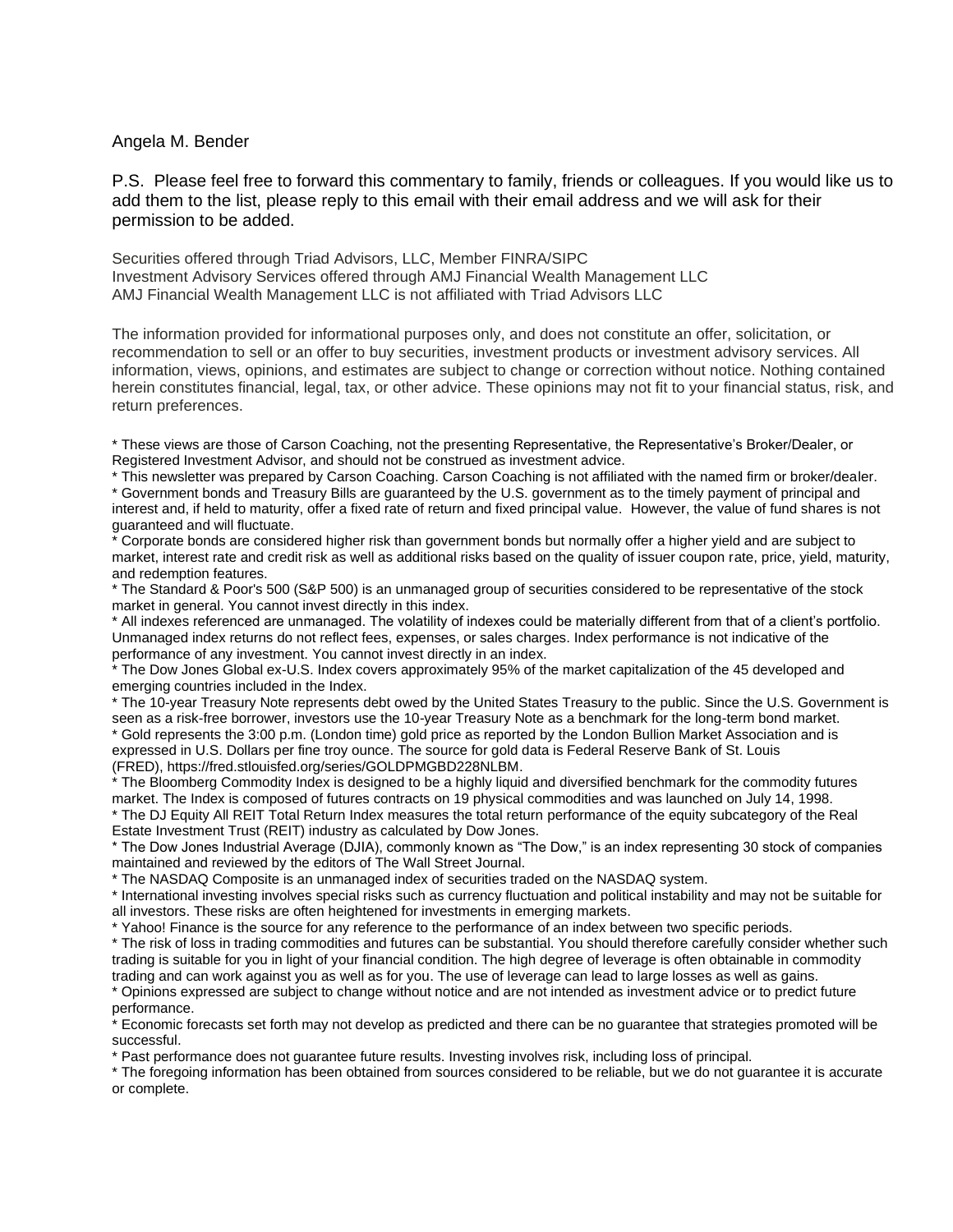## Angela M. Bender

P.S. Please feel free to forward this commentary to family, friends or colleagues. If you would like us to add them to the list, please reply to this email with their email address and we will ask for their permission to be added.

Securities offered through Triad Advisors, LLC, Member FINRA/SIPC Investment Advisory Services offered through AMJ Financial Wealth Management LLC AMJ Financial Wealth Management LLC is not affiliated with Triad Advisors LLC

The information provided for informational purposes only, and does not constitute an offer, solicitation, or recommendation to sell or an offer to buy securities, investment products or investment advisory services. All information, views, opinions, and estimates are subject to change or correction without notice. Nothing contained herein constitutes financial, legal, tax, or other advice. These opinions may not fit to your financial status, risk, and return preferences.

\* These views are those of Carson Coaching, not the presenting Representative, the Representative's Broker/Dealer, or Registered Investment Advisor, and should not be construed as investment advice.

\* This newsletter was prepared by Carson Coaching. Carson Coaching is not affiliated with the named firm or broker/dealer. \* Government bonds and Treasury Bills are guaranteed by the U.S. government as to the timely payment of principal and interest and, if held to maturity, offer a fixed rate of return and fixed principal value. However, the value of fund shares is not guaranteed and will fluctuate.

\* Corporate bonds are considered higher risk than government bonds but normally offer a higher yield and are subject to market, interest rate and credit risk as well as additional risks based on the quality of issuer coupon rate, price, yield, maturity, and redemption features.

\* The Standard & Poor's 500 (S&P 500) is an unmanaged group of securities considered to be representative of the stock market in general. You cannot invest directly in this index.

\* All indexes referenced are unmanaged. The volatility of indexes could be materially different from that of a client's portfolio. Unmanaged index returns do not reflect fees, expenses, or sales charges. Index performance is not indicative of the performance of any investment. You cannot invest directly in an index.

\* The Dow Jones Global ex-U.S. Index covers approximately 95% of the market capitalization of the 45 developed and emerging countries included in the Index.

\* The 10-year Treasury Note represents debt owed by the United States Treasury to the public. Since the U.S. Government is seen as a risk-free borrower, investors use the 10-year Treasury Note as a benchmark for the long-term bond market. \* Gold represents the 3:00 p.m. (London time) gold price as reported by the London Bullion Market Association and is expressed in U.S. Dollars per fine troy ounce. The source for gold data is Federal Reserve Bank of St. Louis (FRED), https://fred.stlouisfed.org/series/GOLDPMGBD228NLBM.

\* The Bloomberg Commodity Index is designed to be a highly liquid and diversified benchmark for the commodity futures market. The Index is composed of futures contracts on 19 physical commodities and was launched on July 14, 1998.

\* The DJ Equity All REIT Total Return Index measures the total return performance of the equity subcategory of the Real Estate Investment Trust (REIT) industry as calculated by Dow Jones.

\* The Dow Jones Industrial Average (DJIA), commonly known as "The Dow," is an index representing 30 stock of companies maintained and reviewed by the editors of The Wall Street Journal.

\* The NASDAQ Composite is an unmanaged index of securities traded on the NASDAQ system.

\* International investing involves special risks such as currency fluctuation and political instability and may not be suitable for all investors. These risks are often heightened for investments in emerging markets.

\* Yahoo! Finance is the source for any reference to the performance of an index between two specific periods.

\* The risk of loss in trading commodities and futures can be substantial. You should therefore carefully consider whether such trading is suitable for you in light of your financial condition. The high degree of leverage is often obtainable in commodity trading and can work against you as well as for you. The use of leverage can lead to large losses as well as gains.

\* Opinions expressed are subject to change without notice and are not intended as investment advice or to predict future performance.

\* Economic forecasts set forth may not develop as predicted and there can be no guarantee that strategies promoted will be successful.

\* Past performance does not guarantee future results. Investing involves risk, including loss of principal.

\* The foregoing information has been obtained from sources considered to be reliable, but we do not guarantee it is accurate or complete.